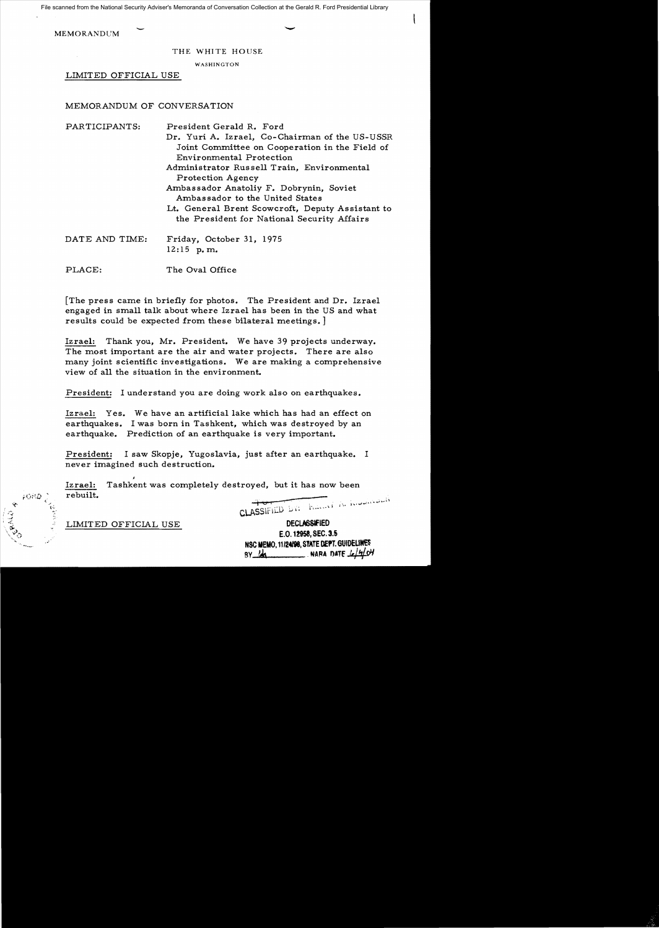File scanned from the National Security Adviser's Memoranda of Conversation Collection at the Gerald R. Ford Presidential Library

**MEMORANDUM** 

THE WHITE HOUSE

WASHINGTON

LIMITED OFFICIAL USE

## MEMORANDUM OF CONVERSATION

| PARTICIPANTS:  | President Gerald R. Ford                         |
|----------------|--------------------------------------------------|
|                | Dr. Yuri A. Izrael, Co-Chairman of the US-USSR   |
|                | Joint Committee on Cooperation in the Field of   |
|                | Environmental Protection                         |
|                | Administrator Russell Train, Environmental       |
|                | Protection Agency                                |
|                | Ambassador Anatoliy F. Dobrynin, Soviet          |
|                | Ambassador to the United States                  |
|                | Lt. General Brent Scowcroft, Deputy Assistant to |
|                | the President for National Security Affairs      |
| DATE AND TIME: | Friday, October 31, 1975                         |
|                | $12:15$ p.m.                                     |
| PLACE:         | The Oval Office                                  |
|                |                                                  |

[The press came in briefly for photos. The President and Dr. Izrael engaged in small talk about where Izrael has been in the US and what results could be expected from these bilateral meetings.

Izrael: Thank you, Mr. President. We have 39 projects underway. The most important are the air and water projects. There are also many joint scientific investigations. We are making a comprehensive view of all the situation in the environment.

President: I understand you are doing work also on earthquakes.

Izrael: Yes. We have an artificial lake which has had an effect on earthquakes. I was born in Tashkent, which was destroyed by an earthquake. Prediction of an earthquake is very important.

President: I saw Skopje, Yugoslavia, just after an earthquake. I never imagined such destruction.

I Izrael: Tashkent was completely destroyed, but it has now been rebuilt. CLASSIFIED DY: Frank A. Kommercie

LIMITED OFFICIAL USE

FORD.

**DECLASSIFIED** E.O. 12958, SEC. 3.5 NSC MEMO, 11/24/98, STATE DEPT. GUIDELINES  $BY$   $14$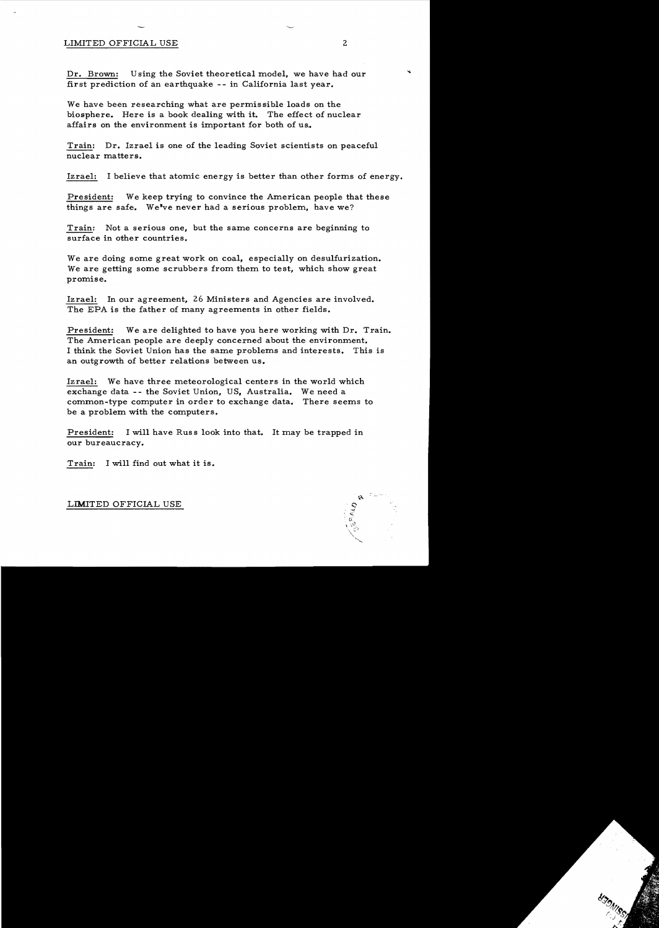## LIMITED OFFICIAL USE 2

Dr. Brown: Using the Soviet theoretical model, we have had our first prediction of an earthquake -- in California last year.

We have been researching what are permissible loads on the biosphere. Here is a book dealing with it. The effect of nuclear affairs on the environment is important for both of us..

Train: Dr. Izrael is one of the leading Soviet scientists on peaceful nuclear matters.

Izrael: I believe that atomic energy is better than other forms of energy.

President: We keep trying to convince the American people that these things are safe. We've never had a serious problem, have we?

Train: Not a serious one, but the same concerns are beginning to surface in other countries.

We are doing some great work on coal, especially on desulfurization. We are getting some scrubbers from them to test, which show great promise.

Izrael: In our agreement, 26 Ministers and Agencies are involved. The EPA is the father of many agreements in other fields.

President: We are delighted to have you here working with Dr. Train. The American people are deeply concerned about the environment. I think the Soviet Union has the same problems and interests. This is an outgrowth of better relations between us.

Izrael: We have three meteorological centers in the world which exchange data -- the Soviet Union, US, Australia. We need a common-type computer in order to exchange data. There seems to be a problem with the computers.

President: I will have Russ look into that. It may be trapped in our bureaucracy.

Train: I will find out what it is.

LIMITED OFFICIAL USE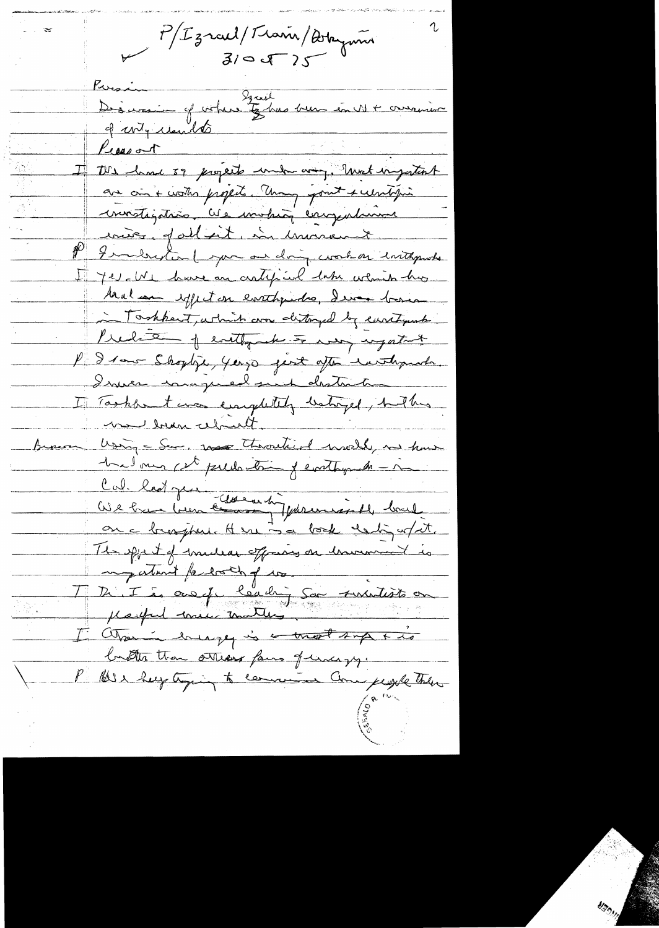$P/L$ zrael/Train/Arryum

Evesin<br>Désirer de porter to has been en 11 + ormain Kresin Received I the had 39 projects under any. Unst ingationt are on + worth property. Theny point + westoging invistigation les inviting carry internet inier palleit, in invirtement P Imelandon (pour our doing cook on inthrowske I je et have an artificial data which has Aral can effect on earthquides, I was basis Tookkert, which are distinged by caritying Predett of evetly the to many regatant P I saw Shoplye, years good after withproba. Inner compred put destruction I Taskfort was emplotely latinged, hether me bran cebuilt. Using = Sem, was throutist world, in how Brown had our cet pullation y evathyment - m Cal. ladger Clararhy formandel back on a bronjsku Here i a book destigart. The sport of mideas officing on humand is Martin Parti et de la de la de la fait de la de la de la fait de la terre de la de la de la de la de la de la de la de la de la de la de la de la de la de la de la de la de la de la de la de la de la de la de la de la de l I atsoming the work support butter than others four of unday, P Blir help tying to comment Come people there